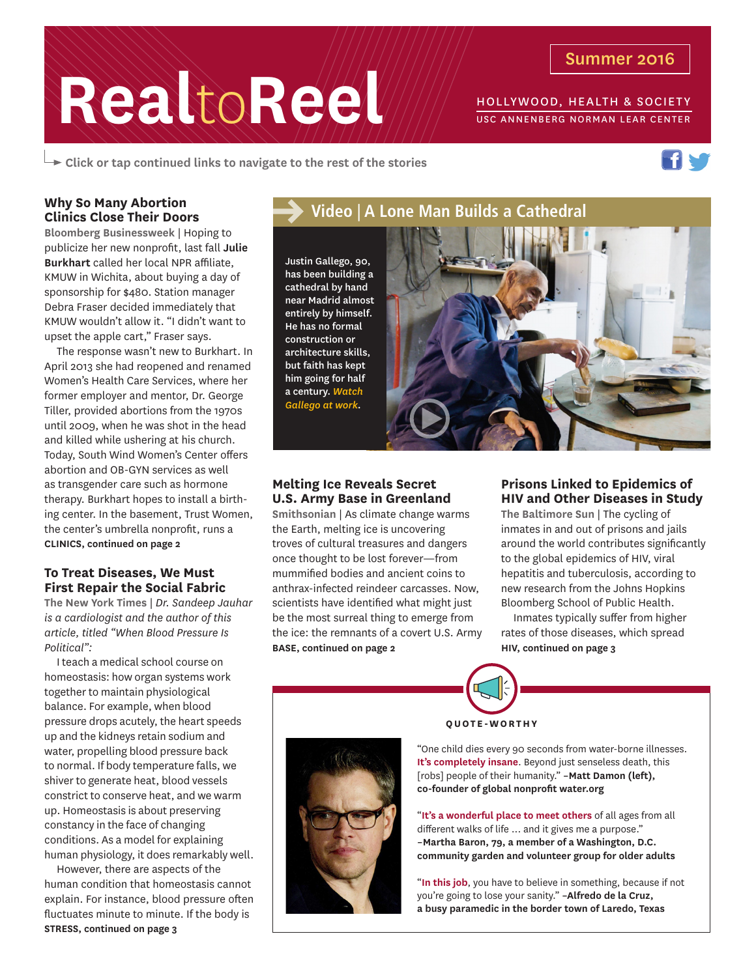## Summer 2016

## HOLLYWOOD, HEALTH & SOCIETY USC ANNENBERG NORMAN LEAR CENTER

**Click or tap continued links to navigate to the rest of the stories**

**Real**to**Reel**



### **Why So Many Abortion Clinics Close Their Doors**

**Bloomberg Businessweek** | Hoping to publicize her new nonprofit, last fall **Julie Burkhart** called her local NPR affiliate, KMUW in Wichita, about buying a day of sponsorship for \$480. Station manager Debra Fraser decided immediately that KMUW wouldn't allow it. "I didn't want to upset the apple cart," Fraser says.

The response wasn't new to Burkhart. In April 2013 she had reopened and renamed Women's Health Care Services, where her former employer and mentor, Dr. George Tiller, provided abortions from the 1970s until 2009, when he was shot in the head and killed while ushering at his church. Today, South Wind Women's Center offers abortion and OB-GYN services as well as transgender care such as hormone therapy. Burkhart hopes to install a birthing center. In the basement, Trust Women, the center's umbrella nonprofit, runs a **[CLINICS, continued on page 2](#page-1-0)**

## **To Treat Diseases, We Must First Repair the Social Fabric**

**The New York Times** | *Dr. Sandeep Jauhar is a cardiologist and the author of this article, titled "When Blood Pressure Is Political":*

I teach a medical school course on homeostasis: how organ systems work together to maintain physiological balance. For example, when blood pressure drops acutely, the heart speeds up and the kidneys retain sodium and water, propelling blood pressure back to normal. If body temperature falls, we shiver to generate heat, blood vessels constrict to conserve heat, and we warm up. Homeostasis is about preserving constancy in the face of changing conditions. As a model for explaining human physiology, it does remarkably well.

However, there are aspects of the human condition that homeostasis cannot explain. For instance, blood pressure often fluctuates minute to minute. If the body is **[STRESS, continued on page 3](#page-2-0)**

Justin Gallego, 90, has been building a cathedral by hand near Madrid alm[ost](https://vimeo.com/174350113)  entirely by himself. He has no formal construction or architecture skills, but faith has kept him going for half

a century. *[Watch](https://vimeo.com/174350113)  [Gallego at work](https://vimeo.com/174350113)*.



## **Melting Ice Reveals Secret U.S. Army Base in Greenland**

**Smithsonian** | As climate change warms the Earth, melting ice is uncovering troves of cultural treasures and dangers once thought to be lost forever—from mummified bodies and ancient coins to anthrax-infected reindeer carcasses. Now, scientists have identified what might just be the most surreal thing to emerge from the ice: the remnants of a covert U.S. Army **[BASE, continued on page 2](#page-1-0)**

## **Prisons Linked to Epidemics of HIV and Other Diseases in Study**

**The Baltimore Sun** | The cycling of inmates in and out of prisons and jails around the world contributes significantly to the global epidemics of HIV, viral hepatitis and tuberculosis, according to new research from the Johns Hopkins Bloomberg School of Public Health.

Inmates typically suffer from higher rates of those diseases, which spread **[HIV, continued on page 3](#page-2-0)**



#### **QUOTE-WORTHY**

"One child dies every 90 seconds from water-borne illnesses. **[It's completely insane](http://www.townandcountrymag.com/society/money-and-power/a6000/matt-damon-water-charity/)**. Beyond just senseless death, this [robs] people of their humanity." **–Matt Damon (left), co-founder of global nonprofit water.org**

"**[It's a wonderful place to meet others](http://www.nytimes.com/2016/07/21/us/washington-the-ideal-place-to-grow-older.html?rref=collection%2Ftimestopic%2FElderly&action=click&contentCollection=timestopics®ion=stream&module=stream_unit&version=latest&contentPlacement=9&pgtype=collection)** of all ages from all different walks of life ... and it gives me a purpose." **–Martha Baron, 79, a member of a Washington, D.C. community garden and volunteer group for older adults**

"**[In this job](https://story.californiasunday.com/border-paramedics-laredo-texas)**, you have to believe in something, because if not you're going to lose your sanity." **–Alfredo de la Cruz, a busy paramedic in the border town of Laredo, Texas**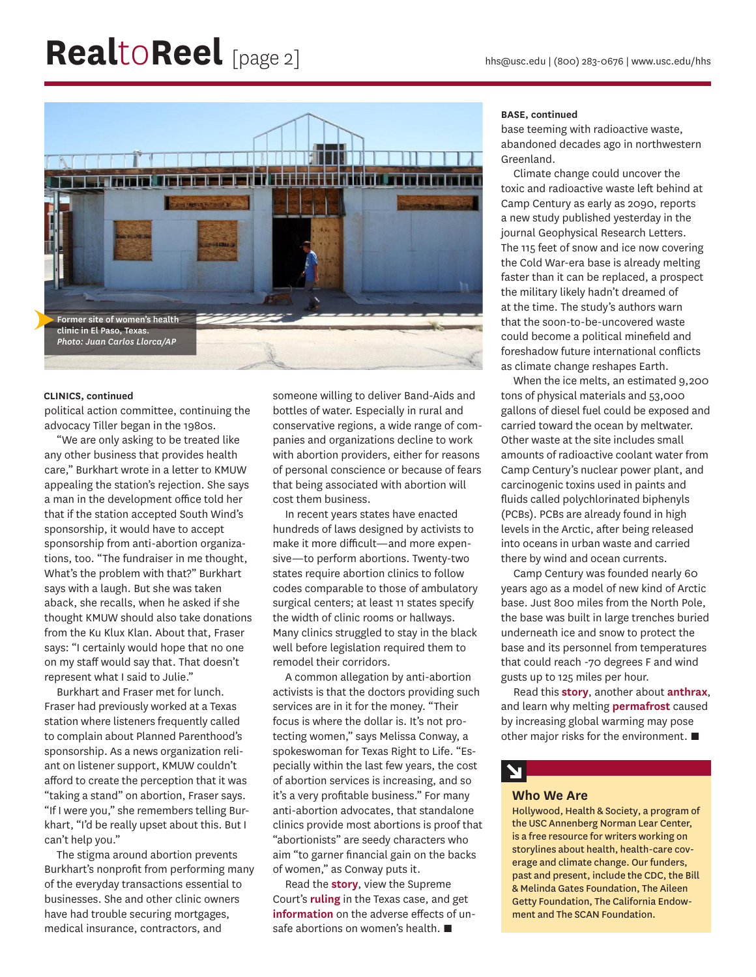## <span id="page-1-0"></span>**Real**to**Reel** [page 2]



#### **CLINICS, continued**

political action committee, continuing the advocacy Tiller began in the 1980s.

"We are only asking to be treated like any other business that provides health care," Burkhart wrote in a letter to KMUW appealing the station's rejection. She says a man in the development office told her that if the station accepted South Wind's sponsorship, it would have to accept sponsorship from anti-abortion organizations, too. "The fundraiser in me thought, What's the problem with that?" Burkhart says with a laugh. But she was taken aback, she recalls, when he asked if she thought KMUW should also take donations from the Ku Klux Klan. About that, Fraser says: "I certainly would hope that no one on my staff would say that. That doesn't represent what I said to Julie."

Burkhart and Fraser met for lunch. Fraser had previously worked at a Texas station where listeners frequently called to complain about Planned Parenthood's sponsorship. As a news organization reliant on listener support, KMUW couldn't afford to create the perception that it was "taking a stand" on abortion, Fraser says. "If I were you," she remembers telling Burkhart, "I'd be really upset about this. But I can't help you."

The stigma around abortion prevents Burkhart's nonprofit from performing many of the everyday transactions essential to businesses. She and other clinic owners have had trouble securing mortgages, medical insurance, contractors, and

someone willing to deliver Band-Aids and bottles of water. Especially in rural and conservative regions, a wide range of companies and organizations decline to work with abortion providers, either for reasons of personal conscience or because of fears that being associated with abortion will cost them business.

In recent years states have enacted hundreds of laws designed by activists to make it more difficult—and more expensive—to perform abortions. Twenty-two states require abortion clinics to follow codes comparable to those of ambulatory surgical centers; at least 11 states specify the width of clinic rooms or hallways. Many clinics struggled to stay in the black well before legislation required them to remodel their corridors.

A common allegation by anti-abortion activists is that the doctors providing such services are in it for the money. "Their focus is where the dollar is. It's not protecting women," says Melissa Conway, a spokeswoman for Texas Right to Life. "Especially within the last few years, the cost of abortion services is increasing, and so it's a very profitable business." For many anti-abortion advocates, that standalone clinics provide most abortions is proof that "abortionists" are seedy characters who aim "to garner financial gain on the backs of women," as Conway puts it.

Read the **[story](http://www.bloomberg.com/features/2016-abortion-business/?Src=longreads&utm_source=Real+to+Reel+%2F+Summer+2016&utm_campaign=Real+to+Reel+%2F+Summer+2016&utm_medium=email)**, view the Supreme Court's **[ruling](https://www.supremecourt.gov/opinions/15pdf/15-274_p8k0.pdf?utm_source=Real+to+Reel+%2F+Summer+2016&utm_campaign=Real+to+Reel+%2F+Summer+2016&utm_medium=email)** in the Texas case, and get **[information](http://www.ncbi.nlm.nih.gov/pmc/articles/PMC2709326/?utm_source=Real+to+Reel+%2F+Summer+2016&utm_campaign=Real+to+Reel+%2F+Summer+2016&utm_medium=email)** on the adverse effects of unsafe abortions on women's health. ■

#### **BASE, continued**

base teeming with radioactive waste, abandoned decades ago in northwestern Greenland.

Climate change could uncover the toxic and radioactive waste left behind at Camp Century as early as 2090, reports a new study published yesterday in the journal Geophysical Research Letters. The 115 feet of snow and ice now covering the Cold War-era base is already melting faster than it can be replaced, a prospect the military likely hadn't dreamed of at the time. The study's authors warn that the soon-to-be-uncovered waste could become a political minefield and foreshadow future international conflicts as climate change reshapes Earth.

When the ice melts, an estimated 9,200 tons of physical materials and 53,000 gallons of diesel fuel could be exposed and carried toward the ocean by meltwater. Other waste at the site includes small amounts of radioactive coolant water from Camp Century's nuclear power plant, and carcinogenic toxins used in paints and fluids called polychlorinated biphenyls (PCBs). PCBs are already found in high levels in the Arctic, after being released into oceans in urban waste and carried there by wind and ocean currents.

Camp Century was founded nearly 60 years ago as a model of new kind of Arctic base. Just 800 miles from the North Pole, the base was built in large trenches buried underneath ice and snow to protect the base and its personnel from temperatures that could reach -70 degrees F and wind gusts up to 125 miles per hour.

Read this **[story](http://www.smithsonianmag.com/science-nature/radioactive-cold-war-military-base-will-soon-emerge-greenlands-melting-ice-180960036/?no-ist)**, another about **[anthrax](http://www.npr.org/sections/goatsandsoda/2016/08/03/488400947/anthrax-outbreak-in-russia-thought-to-be-result-of-thawing-permafrost)**, and learn why melting **[permafrost](https://www.nasa.gov/topics/earth/features/earth20130610.html#.V7sec5MrK3K)** caused by increasing global warming may pose other major risks for the environment. ■

## $\mathbf{M}$

### **Who We Are**

Hollywood, Health & Society, a program of the USC Annenberg Norman Lear Center, is a free resource for writers working on storylines about health, health-care coverage and climate change. Our funders, past and present, include the CDC, the Bill & Melinda Gates Foundation, The Aileen Getty Foundation, The California Endowment and The SCAN Foundation.